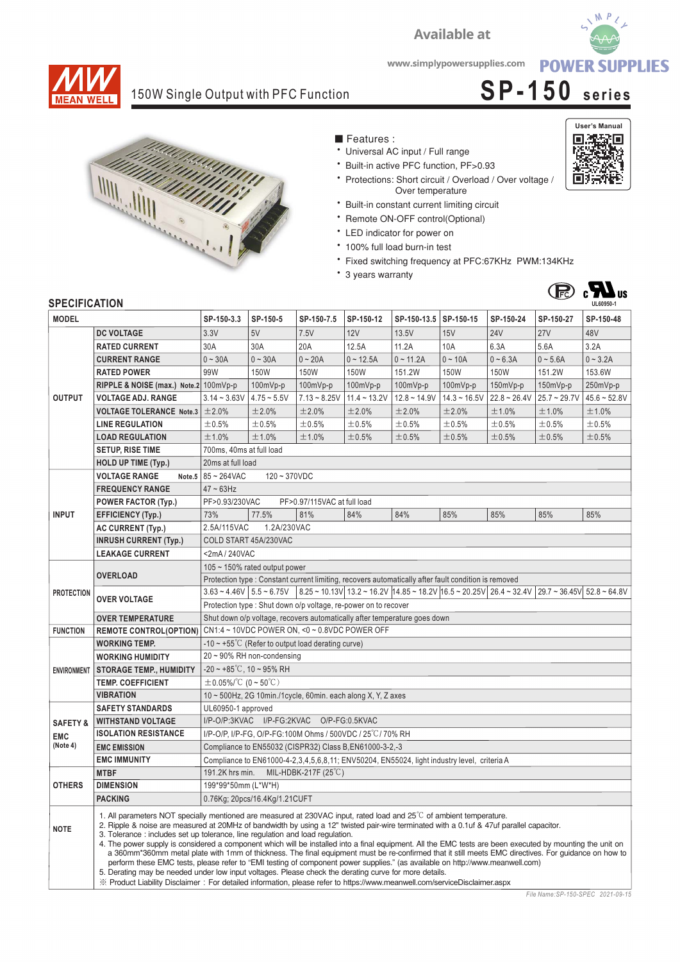



**User's Manual**

回游战回

回演

## 150W Single Output with PFC Function **SP-150 series**



- Features:
- Universal AC input / Full range
- \* Built-in active PFC function, PF>0.93
- \* Protections: Short circuit / Overload / Over voltage / Over temperature

**Available at** 

- \* Built-in constant current limiting circuit
- \* Remote ON-OFF control(Optional)
- \* LED indicator for power on
- 100% full load burn-in test
- \* Fixed switching frequency at PFC:67KHz PWM:134KHz
- \* 3 years warranty



## **SPECIFICATION**

| <b>SPECIFICATION</b>                         |                                                                                                                                                                                                                                                                                                                                                                                                                                                                                                                                                                                                                                                                                                                                                                                                                                                                                                                                                                                                                                              |                                                                                                                                                                                                                                                                |                                                         |                |                |                |                |                |                | UL60950-1      |  |
|----------------------------------------------|----------------------------------------------------------------------------------------------------------------------------------------------------------------------------------------------------------------------------------------------------------------------------------------------------------------------------------------------------------------------------------------------------------------------------------------------------------------------------------------------------------------------------------------------------------------------------------------------------------------------------------------------------------------------------------------------------------------------------------------------------------------------------------------------------------------------------------------------------------------------------------------------------------------------------------------------------------------------------------------------------------------------------------------------|----------------------------------------------------------------------------------------------------------------------------------------------------------------------------------------------------------------------------------------------------------------|---------------------------------------------------------|----------------|----------------|----------------|----------------|----------------|----------------|----------------|--|
| <b>MODEL</b>                                 |                                                                                                                                                                                                                                                                                                                                                                                                                                                                                                                                                                                                                                                                                                                                                                                                                                                                                                                                                                                                                                              | SP-150-3.3                                                                                                                                                                                                                                                     | SP-150-5                                                | SP-150-7.5     | SP-150-12      | SP-150-13.5    | SP-150-15      | SP-150-24      | SP-150-27      | SP-150-48      |  |
| <b>OUTPUT</b>                                | <b>DC VOLTAGE</b>                                                                                                                                                                                                                                                                                                                                                                                                                                                                                                                                                                                                                                                                                                                                                                                                                                                                                                                                                                                                                            | 3.3V                                                                                                                                                                                                                                                           | 5V                                                      | 7.5V           | 12V            | 13.5V          | 15V            | <b>24V</b>     | 27V            | 48V            |  |
|                                              | <b>RATED CURRENT</b>                                                                                                                                                                                                                                                                                                                                                                                                                                                                                                                                                                                                                                                                                                                                                                                                                                                                                                                                                                                                                         | 30A                                                                                                                                                                                                                                                            | 30A                                                     | 20A            | 12.5A          | 11.2A          | 10A            | 6.3A           | 5.6A           | 3.2A           |  |
|                                              | <b>CURRENT RANGE</b>                                                                                                                                                                                                                                                                                                                                                                                                                                                                                                                                                                                                                                                                                                                                                                                                                                                                                                                                                                                                                         | $0 - 30A$                                                                                                                                                                                                                                                      | $0 - 30A$                                               | $0 - 20A$      | $0 - 12.5A$    | $0 - 11.2A$    | $0 - 10A$      | $0 - 6.3A$     | $0 - 5.6A$     | $0 - 3.2A$     |  |
|                                              | <b>RATED POWER</b>                                                                                                                                                                                                                                                                                                                                                                                                                                                                                                                                                                                                                                                                                                                                                                                                                                                                                                                                                                                                                           | 99W                                                                                                                                                                                                                                                            | 150W                                                    | 150W           | <b>150W</b>    | 151.2W         | <b>150W</b>    | 150W           | 151.2W         | 153.6W         |  |
|                                              | RIPPLE & NOISE (max.) Note.2 100mVp-p                                                                                                                                                                                                                                                                                                                                                                                                                                                                                                                                                                                                                                                                                                                                                                                                                                                                                                                                                                                                        |                                                                                                                                                                                                                                                                | 100mVp-p                                                | 100mVp-p       | 100mVp-p       | 100mVp-p       | 100mVp-p       | 150mVp-p       | 150mVp-p       | 250mVp-p       |  |
|                                              | <b>VOLTAGE ADJ. RANGE</b>                                                                                                                                                                                                                                                                                                                                                                                                                                                                                                                                                                                                                                                                                                                                                                                                                                                                                                                                                                                                                    | $3.14 - 3.63V$                                                                                                                                                                                                                                                 | $4.75 - 5.5V$                                           | $7.13 - 8.25V$ | $11.4 - 13.2V$ | $12.8 - 14.9V$ | $14.3 - 16.5V$ | $22.8 - 26.4V$ | $25.7 - 29.7V$ | $45.6 - 52.8V$ |  |
|                                              | <b>VOLTAGE TOLERANCE Note.3</b>                                                                                                                                                                                                                                                                                                                                                                                                                                                                                                                                                                                                                                                                                                                                                                                                                                                                                                                                                                                                              | ±2.0%                                                                                                                                                                                                                                                          | ±2.0%                                                   | ±2.0%          | ±2.0%          | ±2.0%          | ±2.0%          | ±1.0%          | ±1.0%          | ±1.0%          |  |
|                                              | <b>LINE REGULATION</b>                                                                                                                                                                                                                                                                                                                                                                                                                                                                                                                                                                                                                                                                                                                                                                                                                                                                                                                                                                                                                       | ±0.5%                                                                                                                                                                                                                                                          | ±0.5%                                                   | ±0.5%          | $\pm 0.5\%$    | ±0.5%          | ±0.5%          | ±0.5%          | ±0.5%          | ±0.5%          |  |
|                                              | <b>LOAD REGULATION</b>                                                                                                                                                                                                                                                                                                                                                                                                                                                                                                                                                                                                                                                                                                                                                                                                                                                                                                                                                                                                                       | ±1.0%                                                                                                                                                                                                                                                          | ±1.0%                                                   | ±1.0%          | $\pm$ 0.5%     | ±0.5%          | ±0.5%          | ±0.5%          | ±0.5%          | ±0.5%          |  |
|                                              | <b>SETUP, RISE TIME</b>                                                                                                                                                                                                                                                                                                                                                                                                                                                                                                                                                                                                                                                                                                                                                                                                                                                                                                                                                                                                                      | 700ms, 40ms at full load                                                                                                                                                                                                                                       |                                                         |                |                |                |                |                |                |                |  |
|                                              | HOLD UP TIME (Typ.)                                                                                                                                                                                                                                                                                                                                                                                                                                                                                                                                                                                                                                                                                                                                                                                                                                                                                                                                                                                                                          | 20ms at full load                                                                                                                                                                                                                                              |                                                         |                |                |                |                |                |                |                |  |
|                                              | <b>VOLTAGE RANGE</b>                                                                                                                                                                                                                                                                                                                                                                                                                                                                                                                                                                                                                                                                                                                                                                                                                                                                                                                                                                                                                         | Note.5 $85 - 264$ VAC<br>$120 - 370VDC$                                                                                                                                                                                                                        |                                                         |                |                |                |                |                |                |                |  |
| <b>INPUT</b>                                 | <b>FREQUENCY RANGE</b>                                                                                                                                                                                                                                                                                                                                                                                                                                                                                                                                                                                                                                                                                                                                                                                                                                                                                                                                                                                                                       | $47 \sim 63$ Hz                                                                                                                                                                                                                                                |                                                         |                |                |                |                |                |                |                |  |
|                                              | <b>POWER FACTOR (Typ.)</b>                                                                                                                                                                                                                                                                                                                                                                                                                                                                                                                                                                                                                                                                                                                                                                                                                                                                                                                                                                                                                   | PF>0.93/230VAC<br>PF>0.97/115VAC at full load                                                                                                                                                                                                                  |                                                         |                |                |                |                |                |                |                |  |
|                                              | <b>EFFICIENCY (Typ.)</b>                                                                                                                                                                                                                                                                                                                                                                                                                                                                                                                                                                                                                                                                                                                                                                                                                                                                                                                                                                                                                     | 73%                                                                                                                                                                                                                                                            | 77.5%                                                   | 81%            | 84%            | 84%            | 85%            | 85%            | 85%            | 85%            |  |
|                                              | AC CURRENT (Typ.)                                                                                                                                                                                                                                                                                                                                                                                                                                                                                                                                                                                                                                                                                                                                                                                                                                                                                                                                                                                                                            | 2.5A/115VAC<br>1.2A/230VAC                                                                                                                                                                                                                                     |                                                         |                |                |                |                |                |                |                |  |
|                                              | <b>INRUSH CURRENT (Typ.)</b>                                                                                                                                                                                                                                                                                                                                                                                                                                                                                                                                                                                                                                                                                                                                                                                                                                                                                                                                                                                                                 | COLD START 45A/230VAC                                                                                                                                                                                                                                          |                                                         |                |                |                |                |                |                |                |  |
|                                              | <b>LEAKAGE CURRENT</b>                                                                                                                                                                                                                                                                                                                                                                                                                                                                                                                                                                                                                                                                                                                                                                                                                                                                                                                                                                                                                       | <2mA/240VAC                                                                                                                                                                                                                                                    |                                                         |                |                |                |                |                |                |                |  |
| <b>PROTECTION</b>                            | <b>OVERLOAD</b>                                                                                                                                                                                                                                                                                                                                                                                                                                                                                                                                                                                                                                                                                                                                                                                                                                                                                                                                                                                                                              | 105 ~ 150% rated output power                                                                                                                                                                                                                                  |                                                         |                |                |                |                |                |                |                |  |
|                                              |                                                                                                                                                                                                                                                                                                                                                                                                                                                                                                                                                                                                                                                                                                                                                                                                                                                                                                                                                                                                                                              | Protection type : Constant current limiting, recovers automatically after fault condition is removed                                                                                                                                                           |                                                         |                |                |                |                |                |                |                |  |
|                                              | <b>OVER VOLTAGE</b>                                                                                                                                                                                                                                                                                                                                                                                                                                                                                                                                                                                                                                                                                                                                                                                                                                                                                                                                                                                                                          | $3.63 \times 4.46 \text{V}$ $5.5 \times 6.75 \text{V}$ $8.25 \times 10.13 \text{V}$ $13.2 \times 16.2 \text{V}$ $14.85 \times 18.2 \text{V}$ $16.5 \times 20.25 \text{V}$ $26.4 \times 32.4 \text{V}$ $29.7 \times 36.45 \text{V}$ $52.8 \times 64.8 \text{V}$ |                                                         |                |                |                |                |                |                |                |  |
|                                              |                                                                                                                                                                                                                                                                                                                                                                                                                                                                                                                                                                                                                                                                                                                                                                                                                                                                                                                                                                                                                                              | Protection type: Shut down o/p voltage, re-power on to recover                                                                                                                                                                                                 |                                                         |                |                |                |                |                |                |                |  |
|                                              | Shut down o/p voltage, recovers automatically after temperature goes down<br><b>OVER TEMPERATURE</b>                                                                                                                                                                                                                                                                                                                                                                                                                                                                                                                                                                                                                                                                                                                                                                                                                                                                                                                                         |                                                                                                                                                                                                                                                                |                                                         |                |                |                |                |                |                |                |  |
| <b>FUNCTION</b>                              | <b>REMOTE CONTROL(OPTION)</b>                                                                                                                                                                                                                                                                                                                                                                                                                                                                                                                                                                                                                                                                                                                                                                                                                                                                                                                                                                                                                | CN1:4 ~ 10VDC POWER ON, <0 ~ 0.8VDC POWER OFF                                                                                                                                                                                                                  |                                                         |                |                |                |                |                |                |                |  |
| <b>ENVIRONMENT</b>                           | <b>WORKING TEMP.</b>                                                                                                                                                                                                                                                                                                                                                                                                                                                                                                                                                                                                                                                                                                                                                                                                                                                                                                                                                                                                                         | $-10 \sim +55^{\circ}$ (Refer to output load derating curve)                                                                                                                                                                                                   |                                                         |                |                |                |                |                |                |                |  |
|                                              | <b>WORKING HUMIDITY</b>                                                                                                                                                                                                                                                                                                                                                                                                                                                                                                                                                                                                                                                                                                                                                                                                                                                                                                                                                                                                                      | $20 \sim 90\%$ RH non-condensing                                                                                                                                                                                                                               |                                                         |                |                |                |                |                |                |                |  |
|                                              | <b>STORAGE TEMP., HUMIDITY</b>                                                                                                                                                                                                                                                                                                                                                                                                                                                                                                                                                                                                                                                                                                                                                                                                                                                                                                                                                                                                               | $-20 \sim +85^{\circ}$ C, 10 ~ 95% RH                                                                                                                                                                                                                          |                                                         |                |                |                |                |                |                |                |  |
|                                              | <b>TEMP. COEFFICIENT</b>                                                                                                                                                                                                                                                                                                                                                                                                                                                                                                                                                                                                                                                                                                                                                                                                                                                                                                                                                                                                                     | $\pm$ 0.05%/°C (0 ~ 50°C)                                                                                                                                                                                                                                      |                                                         |                |                |                |                |                |                |                |  |
|                                              | <b>VIBRATION</b>                                                                                                                                                                                                                                                                                                                                                                                                                                                                                                                                                                                                                                                                                                                                                                                                                                                                                                                                                                                                                             | 10 ~ 500Hz, 2G 10min./1cycle, 60min. each along X, Y, Z axes                                                                                                                                                                                                   |                                                         |                |                |                |                |                |                |                |  |
| <b>SAFETY&amp;</b><br><b>EMC</b><br>(Note 4) | <b>SAFETY STANDARDS</b>                                                                                                                                                                                                                                                                                                                                                                                                                                                                                                                                                                                                                                                                                                                                                                                                                                                                                                                                                                                                                      | UL60950-1 approved                                                                                                                                                                                                                                             |                                                         |                |                |                |                |                |                |                |  |
|                                              | <b>WITHSTAND VOLTAGE</b>                                                                                                                                                                                                                                                                                                                                                                                                                                                                                                                                                                                                                                                                                                                                                                                                                                                                                                                                                                                                                     | I/P-O/P:3KVAC I/P-FG:2KVAC O/P-FG:0.5KVAC                                                                                                                                                                                                                      |                                                         |                |                |                |                |                |                |                |  |
|                                              | <b>ISOLATION RESISTANCE</b>                                                                                                                                                                                                                                                                                                                                                                                                                                                                                                                                                                                                                                                                                                                                                                                                                                                                                                                                                                                                                  | I/P-O/P, I/P-FG, O/P-FG:100M Ohms / 500VDC / 25 °C/ 70% RH                                                                                                                                                                                                     |                                                         |                |                |                |                |                |                |                |  |
|                                              | <b>EMC EMISSION</b>                                                                                                                                                                                                                                                                                                                                                                                                                                                                                                                                                                                                                                                                                                                                                                                                                                                                                                                                                                                                                          |                                                                                                                                                                                                                                                                | Compliance to EN55032 (CISPR32) Class B, EN61000-3-2,-3 |                |                |                |                |                |                |                |  |
|                                              | <b>EMC IMMUNITY</b>                                                                                                                                                                                                                                                                                                                                                                                                                                                                                                                                                                                                                                                                                                                                                                                                                                                                                                                                                                                                                          | Compliance to EN61000-4-2, 3, 4, 5, 6, 8, 11; ENV50204, EN55024, light industry level, criteria A                                                                                                                                                              |                                                         |                |                |                |                |                |                |                |  |
| <b>OTHERS</b>                                | <b>MTBF</b>                                                                                                                                                                                                                                                                                                                                                                                                                                                                                                                                                                                                                                                                                                                                                                                                                                                                                                                                                                                                                                  | 191.2K hrs min.<br>MIL-HDBK-217F $(25^{\circ}C)$                                                                                                                                                                                                               |                                                         |                |                |                |                |                |                |                |  |
|                                              | <b>DIMENSION</b>                                                                                                                                                                                                                                                                                                                                                                                                                                                                                                                                                                                                                                                                                                                                                                                                                                                                                                                                                                                                                             | 199*99*50mm (L*W*H)                                                                                                                                                                                                                                            |                                                         |                |                |                |                |                |                |                |  |
|                                              | <b>PACKING</b>                                                                                                                                                                                                                                                                                                                                                                                                                                                                                                                                                                                                                                                                                                                                                                                                                                                                                                                                                                                                                               | 0.76Kg; 20pcs/16.4Kg/1.21CUFT                                                                                                                                                                                                                                  |                                                         |                |                |                |                |                |                |                |  |
| <b>NOTE</b>                                  | 1. All parameters NOT specially mentioned are measured at 230VAC input, rated load and 25°C of ambient temperature.<br>2. Ripple & noise are measured at 20MHz of bandwidth by using a 12" twisted pair-wire terminated with a 0.1uf & 47uf parallel capacitor.<br>3. Tolerance: includes set up tolerance, line regulation and load regulation.<br>4. The power supply is considered a component which will be installed into a final equipment. All the EMC tests are been executed by mounting the unit on<br>a 360mm*360mm metal plate with 1mm of thickness. The final equipment must be re-confirmed that it still meets EMC directives. For guidance on how to<br>perform these EMC tests, please refer to "EMI testing of component power supplies." (as available on http://www.meanwell.com)<br>5. Derating may be needed under low input voltages. Please check the derating curve for more details.<br>X Product Liability Disclaimer: For detailed information, please refer to https://www.meanwell.com/serviceDisclaimer.aspx |                                                                                                                                                                                                                                                                |                                                         |                |                |                |                |                |                |                |  |